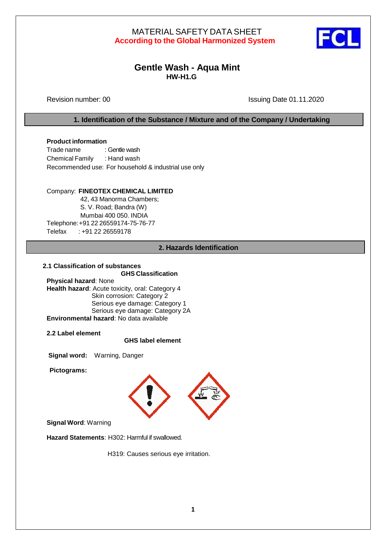

# **Gentle Wash - Aqua Mint HW-H1.G**

Revision number: 00 Issuing Date 01.11.2020

## **1. Identification of the Substance / Mixture and of the Company / Undertaking**

## **Product information**

Trade name : Gentle wash Chemical Family : Hand wash Recommended use: For household & industrial use only

## Company: **FINEOTEX CHEMICAL LIMITED**

42, 43 Manorma Chambers; S. V. Road; Bandra (W) Mumbai 400 050. INDIA Telephone:+91 22 26559174-75-76-77 Telefax : +91 22 26559178

## **2. Hazards Identification**

## **2.1 Classification of substances**

 **GHS Classification**

**Physical hazard**: None **Health hazard**: Acute toxicity, oral: Category 4 Skin corrosion: Category 2 Serious eye damage: Category 1 Serious eye damage: Category 2A **Environmental hazard**: No data available

**2.2 Label element**

## **GHS label element**

**Signal word:** Warning, Danger

**Pictograms:**



**Signal Word**: Warning

**Hazard Statements**: H302: Harmful if swallowed.

H319: Causes serious eye irritation.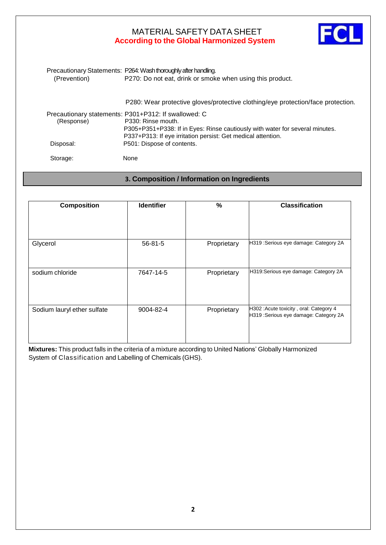

| (Prevention) | Precautionary Statements: P264: Wash thoroughly after handling.<br>P270: Do not eat, drink or smoke when using this product.                                       |
|--------------|--------------------------------------------------------------------------------------------------------------------------------------------------------------------|
|              | P280: Wear protective gloves/protective clothing/eye protection/face protection.                                                                                   |
|              | Precautionary statements: P301+P312: If swallowed: C                                                                                                               |
| (Response)   | P330: Rinse mouth.<br>P305+P351+P338: If in Eyes: Rinse cautiously with water for several minutes.<br>P337+P313: If eye irritation persist: Get medical attention. |
| Disposal:    | P501: Dispose of contents.                                                                                                                                         |
| Storage:     | None                                                                                                                                                               |

# **3. Composition / Information on Ingredients**

| <b>Composition</b>          | <b>Identifier</b> | $\%$        | <b>Classification</b>                                                           |
|-----------------------------|-------------------|-------------|---------------------------------------------------------------------------------|
|                             |                   |             |                                                                                 |
|                             |                   |             |                                                                                 |
| Glycerol                    | $56 - 81 - 5$     | Proprietary | H319: Serious eye damage: Category 2A                                           |
|                             |                   |             |                                                                                 |
| sodium chloride             | 7647-14-5         | Proprietary | H319: Serious eye damage: Category 2A                                           |
|                             |                   |             |                                                                                 |
|                             |                   |             |                                                                                 |
| Sodium lauryl ether sulfate | 9004-82-4         | Proprietary | H302: Acute toxicity, oral: Category 4<br>H319: Serious eye damage: Category 2A |
|                             |                   |             |                                                                                 |
|                             |                   |             |                                                                                 |

**Mixtures:** This product falls in the criteria of a mixture according to United Nations' Globally Harmonized System of Classification and Labelling of Chemicals (GHS).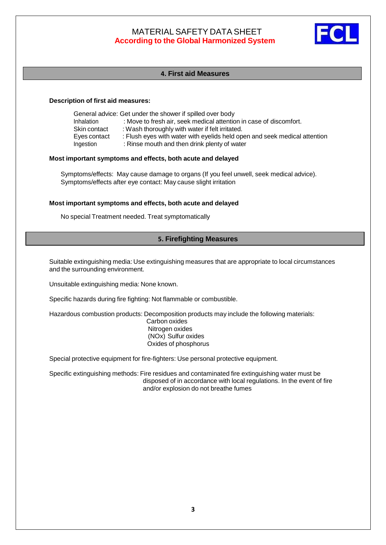

### **4. First aid Measures**

#### **Description of first aid measures:**

| General advice: Get under the shower if spilled over body |                                                                                                                           |  |  |
|-----------------------------------------------------------|---------------------------------------------------------------------------------------------------------------------------|--|--|
| Inhalation                                                | : Move to fresh air, seek medical attention in case of discomfort.                                                        |  |  |
| Skin contact                                              | : Wash thoroughly with water if felt irritated.                                                                           |  |  |
| Eyes contact<br>Ingestion                                 | : Flush eyes with water with eyelids held open and seek medical attention<br>: Rinse mouth and then drink plenty of water |  |  |

### **Most important symptoms and effects, both acute and delayed**

Symptoms/effects: May cause damage to organs (If you feel unwell, seek medical advice). Symptoms/effects after eye contact: May cause slight irritation

#### **Most important symptoms and effects, both acute and delayed**

No special Treatment needed. Treat symptomatically

## **5. Firefighting Measures**

Suitable extinguishing media: Use extinguishing measures that are appropriate to local circumstances and the surrounding environment.

Unsuitable extinguishing media: None known.

Specific hazards during fire fighting: Not flammable or combustible.

Hazardous combustion products: Decomposition products may include the following materials:

Carbon oxides Nitrogen oxides (NOx) Sulfur oxides Oxides of phosphorus

Special protective equipment for fire-fighters: Use personal protective equipment.

Specific extinguishing methods: Fire residues and contaminated fire extinguishing water must be disposed of in accordance with local regulations. In the event of fire and/or explosion do not breathe fumes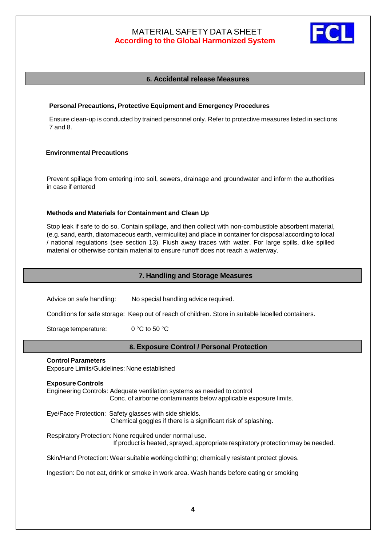

## **6. Accidental release Measures**

### **Personal Precautions, Protective Equipment and Emergency Procedures**

Ensure clean-up is conducted by trained personnel only. Refer to protective measures listed in sections 7 and 8.

## **EnvironmentalPrecautions**

Prevent spillage from entering into soil, sewers, drainage and groundwater and inform the authorities in case if entered

### **Methods and Materials for Containment and Clean Up**

Stop leak if safe to do so. Contain spillage, and then collect with non-combustible absorbent material, (e.g. sand, earth, diatomaceous earth, vermiculite) and place in container for disposal according to local / national regulations (see section 13). Flush away traces with water. For large spills, dike spilled material or otherwise contain material to ensure runoff does not reach a waterway.

## **7. Handling and Storage Measures**

Advice on safe handling: No special handling advice required. Conditions for safe storage: Keep out of reach of children. Store in suitable labelled containers. Storage temperature: 0 °C to 50 °C

## **8. Exposure Control / Personal Protection**

#### **Control Parameters**

Exposure Limits/Guidelines: None established

#### **Exposure Controls**

Engineering Controls: Adequate ventilation systems as needed to control Conc. of airborne contaminants below applicable exposure limits.

Eye/Face Protection: Safety glasses with side shields. Chemical goggles if there is a significant risk of splashing.

Respiratory Protection: None required under normal use. If product is heated, sprayed, appropriate respiratory protection may be needed.

Skin/Hand Protection: Wear suitable working clothing; chemically resistant protect gloves.

Ingestion: Do not eat, drink or smoke in work area. Wash hands before eating or smoking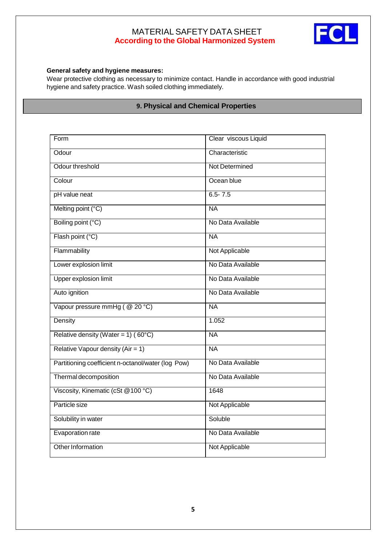

## **General safety and hygiene measures:**

Wear protective clothing as necessary to minimize contact. Handle in accordance with good industrial hygiene and safety practice. Wash soiled clothing immediately.

# **9. Physical and Chemical Properties**

| Form                                               | Clear viscous Liquid |  |
|----------------------------------------------------|----------------------|--|
| Odour                                              | Characteristic       |  |
| Odour threshold                                    | Not Determined       |  |
| Colour                                             | Ocean blue           |  |
| pH value neat                                      | $6.5 - 7.5$          |  |
| Melting point (°C)                                 | <b>NA</b>            |  |
| Boiling point (°C)                                 | No Data Available    |  |
| Flash point (°C)                                   | <b>NA</b>            |  |
| Flammability                                       | Not Applicable       |  |
| Lower explosion limit                              | No Data Available    |  |
| <b>Upper explosion limit</b>                       | No Data Available    |  |
| Auto ignition                                      | No Data Available    |  |
| Vapour pressure mmHg (@ 20 °C)                     | <b>NA</b>            |  |
| Density                                            | 1.052                |  |
| Relative density (Water = 1) (60°C)                | <b>NA</b>            |  |
| Relative Vapour density (Air = 1)                  | <b>NA</b>            |  |
| Partitioning coefficient n-octanol/water (log Pow) | No Data Available    |  |
| Thermal decomposition                              | No Data Available    |  |
| Viscosity, Kinematic (cSt @100 °C)                 | 1648                 |  |
| Particle size                                      | Not Applicable       |  |
| Solubility in water                                | Soluble              |  |
| Evaporation rate                                   | No Data Available    |  |
| Other Information                                  | Not Applicable       |  |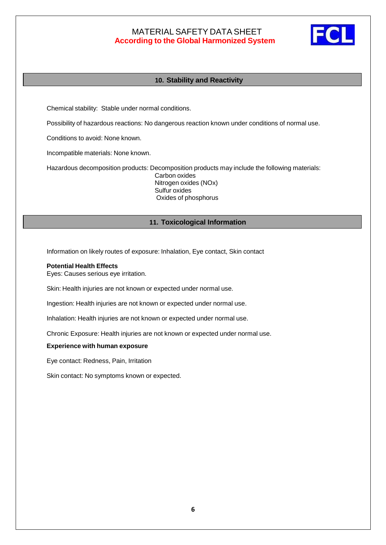

## **10. Stability and Reactivity**

Chemical stability: Stable under normal conditions.

Possibility of hazardous reactions: No dangerous reaction known under conditions of normal use.

Conditions to avoid: None known.

Incompatible materials: None known.

Hazardous decomposition products: Decomposition products may include the following materials: Carbon oxides

Nitrogen oxides (NOx) Sulfur oxides Oxides of phosphorus

## **11. Toxicological Information**

Information on likely routes of exposure: Inhalation, Eye contact, Skin contact

#### **Potential Health Effects**

Eyes: Causes serious eye irritation.

Skin: Health injuries are not known or expected under normal use.

Ingestion: Health injuries are not known or expected under normal use.

Inhalation: Health injuries are not known or expected under normal use.

Chronic Exposure: Health injuries are not known or expected under normal use.

#### **Experience with human exposure**

Eye contact: Redness, Pain, Irritation

Skin contact: No symptoms known or expected.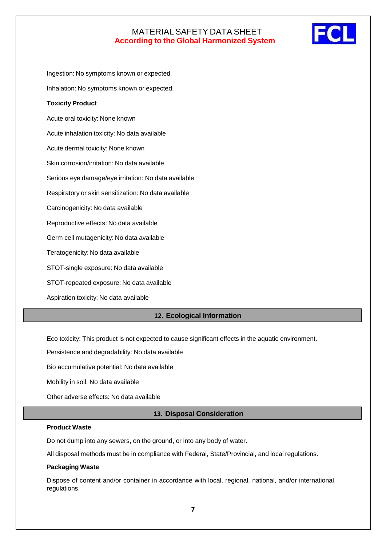

Ingestion: No symptoms known or expected. Inhalation: No symptoms known or expected. **Toxicity Product** Acute oral toxicity: None known Acute inhalation toxicity: No data available Acute dermal toxicity: None known Skin corrosion/irritation: No data available Serious eye damage/eye irritation: No data available Respiratory or skin sensitization: No data available Carcinogenicity: No data available Reproductive effects: No data available Germ cell mutagenicity: No data available Teratogenicity: No data available STOT-single exposure: No data available STOT-repeated exposure: No data available Aspiration toxicity: No data available

## **12. Ecological Information**

Eco toxicity: This product is not expected to cause significant effects in the aquatic environment.

Persistence and degradability: No data available

Bio accumulative potential: No data available

Mobility in soil: No data available

Other adverse effects: No data available

### **13. Disposal Consideration**

#### **Product Waste**

Do not dump into any sewers, on the ground, or into any body of water.

All disposal methods must be in compliance with Federal, State/Provincial, and local regulations.

#### **Packaging Waste**

Dispose of content and/or container in accordance with local, regional, national, and/or international regulations.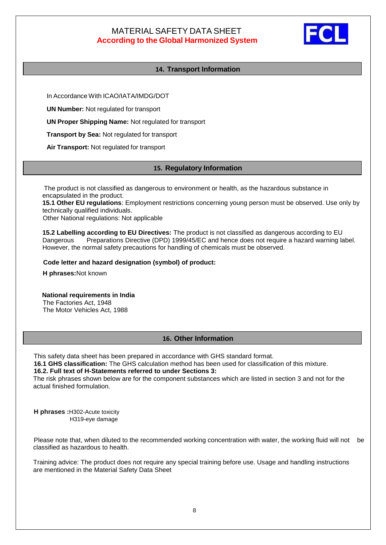

## **14. Transport Information**

In Accordance With ICAO/IATA/IMDG/DOT

**UN Number:** Not regulated for transport

**UN Proper Shipping Name:** Not regulated for transport

**Transport by Sea:** Not regulated for transport

**Air Transport:** Not regulated for transport

### **15. Regulatory Information**

The product is not classified as dangerous to environment or health, as the hazardous substance in encapsulated in the product.

**15.1 Other EU regulations**: Employment restrictions concerning young person must be observed. Use only by technically qualified individuals.

Other National regulations: Not applicable

**15.2 Labelling according to EU Directives:** The product is not classified as dangerous according to EU Dangerous Preparations Directive (DPD) 1999/45/EC and hence does not require a hazard warning label. However, the normal safety precautions for handling of chemicals must be observed.

#### **Code letter and hazard designation (symbol) of product:**

 **H phrases:**Not known

 **National requirements in India** The Factories Act, 1948 The Motor Vehicles Act, 1988

## **16. Other Information**

This safety data sheet has been prepared in accordance with GHS standard format.

 **16.1 GHS classification:** The GHS calculation method has been used for classification of this mixture.

### **16.2. Full text of H-Statements referred to under Sections 3:**

The risk phrases shown below are for the component substances which are listed in section 3 and not for the actual finished formulation.

 **H phrases :**H302-Acute toxicity H319-eye damage

Please note that, when diluted to the recommended working concentration with water, the working fluid will not be classified as hazardous to health.

Training advice: The product does not require any special training before use. Usage and handling instructions are mentioned in the Material Safety Data Sheet